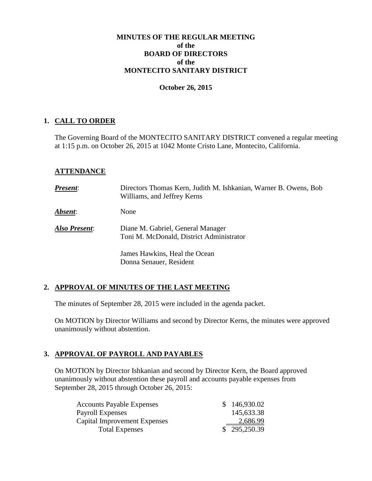#### **MINUTES OF THE REGULAR MEETING of the BOARD OF DIRECTORS of the MONTECITO SANITARY DISTRICT**

#### **October 26, 2015**

#### **1. CALL TO ORDER**

The Governing Board of the MONTECITO SANITARY DISTRICT convened a regular meeting at 1:15 p.m. on October 26, 2015 at 1042 Monte Cristo Lane, Montecito, California.

## **ATTENDANCE**

| <b>Present:</b>       | Directors Thomas Kern, Judith M. Ishkanian, Warner B. Owens, Bob<br>Williams, and Jeffrey Kerns |
|-----------------------|-------------------------------------------------------------------------------------------------|
| <i><b>Absent:</b></i> | None                                                                                            |
| Also Present:         | Diane M. Gabriel, General Manager<br>Toni M. McDonald, District Administrator                   |
|                       | James Hawkins, Heal the Ocean<br>Donna Senauer, Resident                                        |

## **2. APPROVAL OF MINUTES OF THE LAST MEETING**

The minutes of September 28, 2015 were included in the agenda packet.

On MOTION by Director Williams and second by Director Kerns, the minutes were approved unanimously without abstention.

## **3. APPROVAL OF PAYROLL AND PAYABLES**

On MOTION by Director Ishkanian and second by Director Kern, the Board approved unanimously without abstention these payroll and accounts payable expenses from September 28, 2015 through October 26, 2015:

| <b>Accounts Payable Expenses</b> |  | \$146,930.02 |
|----------------------------------|--|--------------|
| Payroll Expenses                 |  | 145,633.38   |
| Capital Improvement Expenses     |  | 2,686.99     |
| <b>Total Expenses</b>            |  | \$295,250.39 |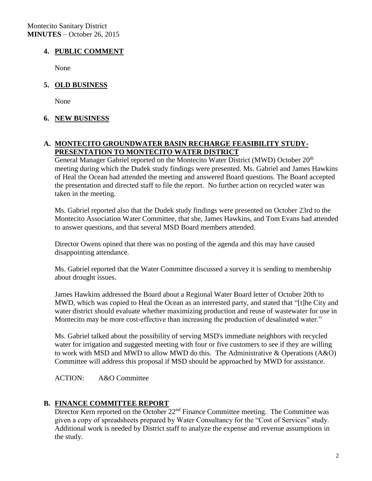Montecito Sanitary District **MINUTES** – October 26, 2015

# **4. PUBLIC COMMENT**

None

# **5. OLD BUSINESS**

None

## **6. NEW BUSINESS**

## **A. MONTECITO GROUNDWATER BASIN RECHARGE FEASIBILITY STUDY-PRESENTATION TO MONTECITO WATER DISTRICT**

General Manager Gabriel reported on the Montecito Water District (MWD) October 20<sup>th</sup> meeting during which the Dudek study findings were presented. Ms. Gabriel and James Hawkins of Heal the Ocean had attended the meeting and answered Board questions. The Board accepted the presentation and directed staff to file the report. No further action on recycled water was taken in the meeting.

Ms. Gabriel reported also that the Dudek study findings were presented on October 23rd to the Montecito Association Water Committee, that she, James Hawkins, and Tom Evans had attended to answer questions, and that several MSD Board members attended.

Director Owens opined that there was no posting of the agenda and this may have caused disappointing attendance.

Ms. Gabriel reported that the Water Committee discussed a survey it is sending to membership about drought issues.

James Hawkins addressed the Board about a Regional Water Board letter of October 20th to MWD, which was copied to Heal the Ocean as an interested party, and stated that "[t]he City and water district should evaluate whether maximizing production and reuse of wastewater for use in Montecito may be more cost-effective than increasing the production of desalinated water."

Ms. Gabriel talked about the possibility of serving MSD's immediate neighbors with recycled water for irrigation and suggested meeting with four or five customers to see if they are willing to work with MSD and MWD to allow MWD do this. The Administrative & Operations (A&O) Committee will address this proposal if MSD should be approached by MWD for assistance.

ACTION: A&O Committee

## **B. FINANCE COMMITTEE REPORT**

Director Kern reported on the October 22<sup>nd</sup> Finance Committee meeting. The Committee was given a copy of spreadsheets prepared by Water Consultancy for the "Cost of Services" study. Additional work is needed by District staff to analyze the expense and revenue assumptions in the study.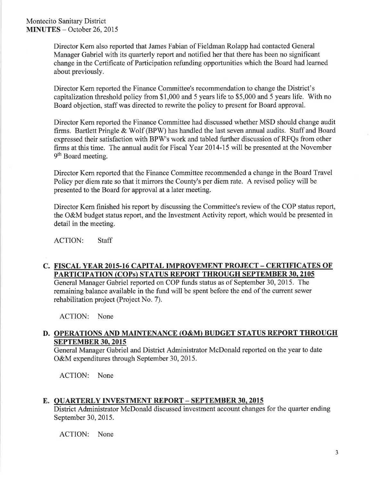Director Kern also reported that James Fabian of Fieldman Rolapp had contacted General Manager Gabriel with its quarterly report and notified her that there has been no significant change in the Certificate of Participation refunding opportunities which the Board had learned about previously.

Director Kern reported the Finance Committee's recommendation to change the District's capitalization threshold policy from \$1,000 and 5 years life to \$5,000 and 5 years life. With no Board objection, staff was directed to rewrite the policy to present for Board approval.

Director Kern reported the Finance Committee had discussed whether MSD should change audit firms. Bartlett Pringle & Wolf (BPW) has handled the last seven annual audits. Staff and Board expressed their satisfaction with BPW's work and tabled further discussion of RFQs from other firms at this time. The annual audit for Fiscal Year 2014-15 will be presented at the November 9<sup>th</sup> Board meeting.

Director Kern reported that the Finance Committee recommended a change in the Board Travel Policy per diem rate so that it mirrors the County's per diem rate. A revised policy will be presented to the Board for approval at a later meeting.

Director Kern finished his report by discussing the Committee's review of the COP status report, the O&M budget status report, and the Investment Activity report, which would be presented in detail in the meeting.

**ACTION: Staff** 

# C. FISCAL YEAR 2015-16 CAPITAL IMPROVEMENT PROJECT – CERTIFICATES OF **PARTICIPATION (COPs) STATUS REPORT THROUGH SEPTEMBER 30, 2105**

General Manager Gabriel reported on COP funds status as of September 30, 2015. The remaining balance available in the fund will be spent before the end of the current sewer rehabilitation project (Project No. 7).

ACTION: None

#### D. OPERATIONS AND MAINTENANCE (O&M) BUDGET STATUS REPORT THROUGH **SEPTEMBER 30, 2015**

General Manager Gabriel and District Administrator McDonald reported on the year to date O&M expenditures through September 30, 2015.

ACTION: None

## E. QUARTERLY INVESTMENT REPORT - SEPTEMBER 30, 2015

District Administrator McDonald discussed investment account changes for the quarter ending September 30, 2015.

ACTION: None